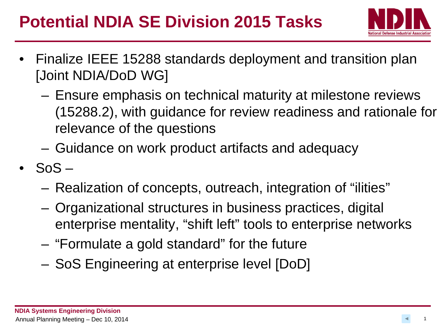## **Potential NDIA SE Division 2015 Tasks**



- Finalize IEEE 15288 standards deployment and transition plan [Joint NDIA/DoD WG]
	- Ensure emphasis on technical maturity at milestone reviews (15288.2), with guidance for review readiness and rationale for relevance of the questions
	- Guidance on work product artifacts and adequacy
- $\cdot$  SoS  $-$ 
	- Realization of concepts, outreach, integration of "ilities"
	- Organizational structures in business practices, digital enterprise mentality, "shift left" tools to enterprise networks
	- "Formulate a gold standard" for the future
	- SoS Engineering at enterprise level [DoD]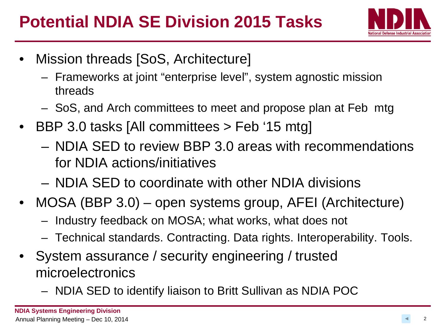

- Mission threads [SoS, Architecture]
	- Frameworks at joint "enterprise level", system agnostic mission threads
	- SoS, and Arch committees to meet and propose plan at Feb mtg
- BBP 3.0 tasks [All committees > Feb '15 mtg]
	- NDIA SED to review BBP 3.0 areas with recommendations for NDIA actions/initiatives
	- NDIA SED to coordinate with other NDIA divisions
- MOSA (BBP 3.0) open systems group, AFEI (Architecture)
	- Industry feedback on MOSA; what works, what does not
	- Technical standards. Contracting. Data rights. Interoperability. Tools.
- System assurance / security engineering / trusted microelectronics
	- NDIA SED to identify liaison to Britt Sullivan as NDIA POC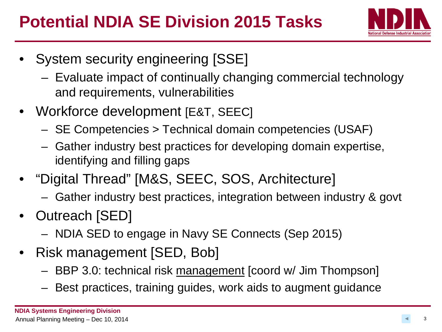

- System security engineering [SSE]
	- Evaluate impact of continually changing commercial technology and requirements, vulnerabilities
- Workforce development [E&T, SEEC]
	- SE Competencies > Technical domain competencies (USAF)
	- Gather industry best practices for developing domain expertise, identifying and filling gaps
- "Digital Thread" [M&S, SEEC, SOS, Architecture]
	- Gather industry best practices, integration between industry & govt
- Outreach [SED]
	- NDIA SED to engage in Navy SE Connects (Sep 2015)
- Risk management [SED, Bob]
	- BBP 3.0: technical risk management [coord w/ Jim Thompson]
	- Best practices, training guides, work aids to augment guidance